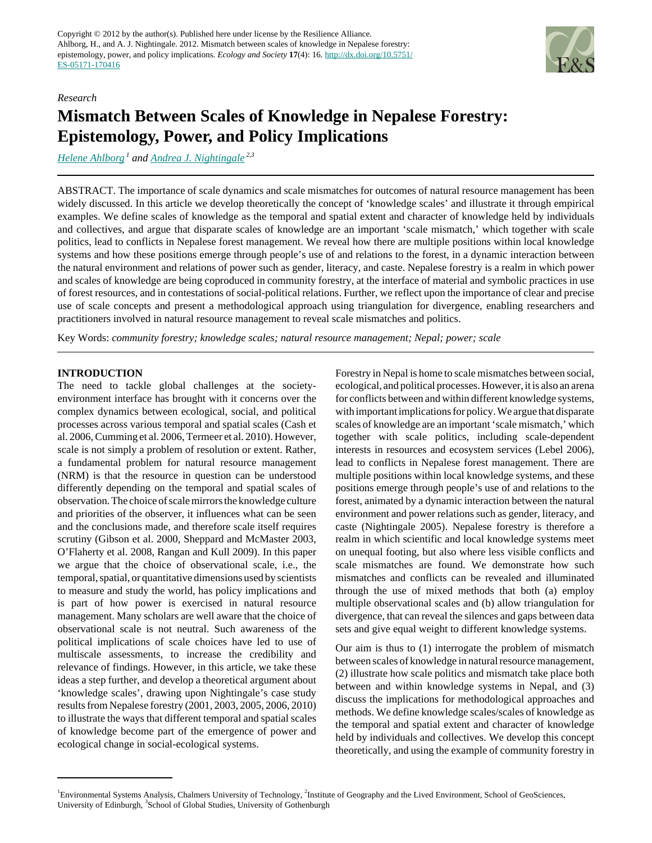

#### *Research*

# **Mismatch Between Scales of Knowledge in Nepalese Forestry: Epistemology, Power, and Policy Implications**

*[Helene Ahlborg](mailto:helene.ahlborg@chalmers.se)<sup>1</sup> and [Andrea J. Nightingale](mailto:andrea.nightingale@ed.ac.uk) 2,3*

ABSTRACT. The importance of scale dynamics and scale mismatches for outcomes of natural resource management has been widely discussed. In this article we develop theoretically the concept of 'knowledge scales' and illustrate it through empirical examples. We define scales of knowledge as the temporal and spatial extent and character of knowledge held by individuals and collectives, and argue that disparate scales of knowledge are an important 'scale mismatch,' which together with scale politics, lead to conflicts in Nepalese forest management. We reveal how there are multiple positions within local knowledge systems and how these positions emerge through people's use of and relations to the forest, in a dynamic interaction between the natural environment and relations of power such as gender, literacy, and caste. Nepalese forestry is a realm in which power and scales of knowledge are being coproduced in community forestry, at the interface of material and symbolic practices in use of forest resources, and in contestations of social-political relations. Further, we reflect upon the importance of clear and precise use of scale concepts and present a methodological approach using triangulation for divergence, enabling researchers and practitioners involved in natural resource management to reveal scale mismatches and politics.

Key Words: *community forestry; knowledge scales; natural resource management; Nepal; power; scale*

#### **INTRODUCTION**

The need to tackle global challenges at the societyenvironment interface has brought with it concerns over the complex dynamics between ecological, social, and political processes across various temporal and spatial scales (Cash et al. 2006, Cumming et al. 2006, Termeer et al. 2010). However, scale is not simply a problem of resolution or extent. Rather, a fundamental problem for natural resource management (NRM) is that the resource in question can be understood differently depending on the temporal and spatial scales of observation. The choice of scale mirrors the knowledge culture and priorities of the observer, it influences what can be seen and the conclusions made, and therefore scale itself requires scrutiny (Gibson et al. 2000, Sheppard and McMaster 2003, O'Flaherty et al. 2008, Rangan and Kull 2009). In this paper we argue that the choice of observational scale, i.e., the temporal, spatial, or quantitative dimensions used by scientists to measure and study the world, has policy implications and is part of how power is exercised in natural resource management. Many scholars are well aware that the choice of observational scale is not neutral. Such awareness of the political implications of scale choices have led to use of multiscale assessments, to increase the credibility and relevance of findings. However, in this article, we take these ideas a step further, and develop a theoretical argument about 'knowledge scales', drawing upon Nightingale's case study results from Nepalese forestry (2001, 2003, 2005, 2006, 2010) to illustrate the ways that different temporal and spatial scales of knowledge become part of the emergence of power and ecological change in social-ecological systems.

Forestry in Nepal is home to scale mismatches between social, ecological, and political processes. However, it is also an arena for conflicts between and within different knowledge systems, with important implications for policy. We argue that disparate scales of knowledge are an important 'scale mismatch,' which together with scale politics, including scale-dependent interests in resources and ecosystem services (Lebel 2006), lead to conflicts in Nepalese forest management. There are multiple positions within local knowledge systems, and these positions emerge through people's use of and relations to the forest, animated by a dynamic interaction between the natural environment and power relations such as gender, literacy, and caste (Nightingale 2005). Nepalese forestry is therefore a realm in which scientific and local knowledge systems meet on unequal footing, but also where less visible conflicts and scale mismatches are found. We demonstrate how such mismatches and conflicts can be revealed and illuminated through the use of mixed methods that both (a) employ multiple observational scales and (b) allow triangulation for divergence, that can reveal the silences and gaps between data sets and give equal weight to different knowledge systems.

Our aim is thus to (1) interrogate the problem of mismatch between scales of knowledge in natural resource management, (2) illustrate how scale politics and mismatch take place both between and within knowledge systems in Nepal, and (3) discuss the implications for methodological approaches and methods. We define knowledge scales/scales of knowledge as the temporal and spatial extent and character of knowledge held by individuals and collectives. We develop this concept theoretically, and using the example of community forestry in

<sup>&</sup>lt;sup>1</sup>Environmental Systems Analysis, Chalmers University of Technology, <sup>2</sup>Institute of Geography and the Lived Environment, School of GeoSciences, University of Edinburgh, <sup>3</sup> School of Global Studies, University of Gothenburgh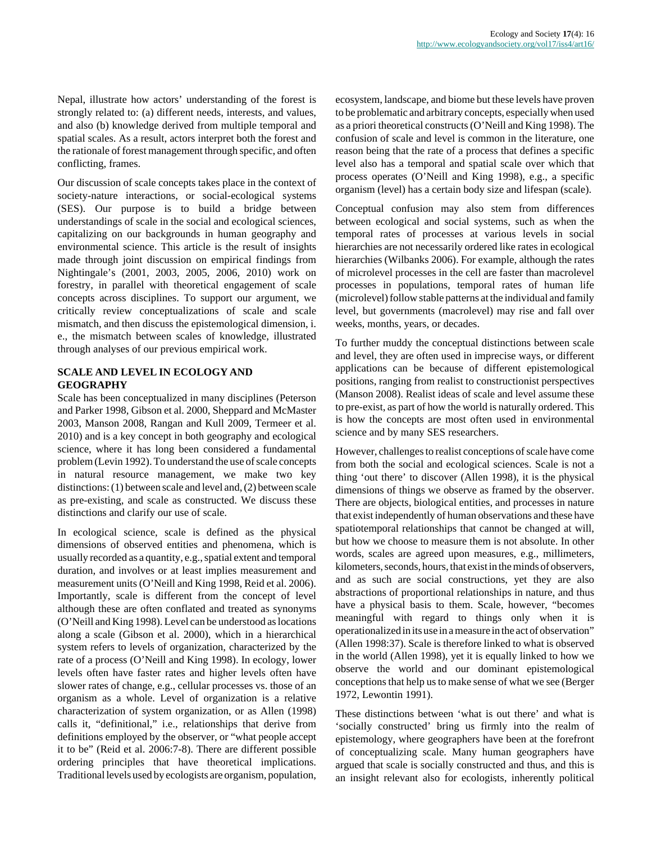Nepal, illustrate how actors' understanding of the forest is strongly related to: (a) different needs, interests, and values, and also (b) knowledge derived from multiple temporal and spatial scales. As a result, actors interpret both the forest and the rationale of forest management through specific, and often conflicting, frames.

Our discussion of scale concepts takes place in the context of society-nature interactions, or social-ecological systems (SES). Our purpose is to build a bridge between understandings of scale in the social and ecological sciences, capitalizing on our backgrounds in human geography and environmental science. This article is the result of insights made through joint discussion on empirical findings from Nightingale's (2001, 2003, 2005, 2006, 2010) work on forestry, in parallel with theoretical engagement of scale concepts across disciplines. To support our argument, we critically review conceptualizations of scale and scale mismatch, and then discuss the epistemological dimension, i. e., the mismatch between scales of knowledge, illustrated through analyses of our previous empirical work.

# **SCALE AND LEVEL IN ECOLOGY AND GEOGRAPHY**

Scale has been conceptualized in many disciplines (Peterson and Parker 1998, Gibson et al. 2000, Sheppard and McMaster 2003, Manson 2008, Rangan and Kull 2009, Termeer et al. 2010) and is a key concept in both geography and ecological science, where it has long been considered a fundamental problem (Levin 1992). To understand the use of scale concepts in natural resource management, we make two key distinctions: (1) between scale and level and, (2) between scale as pre-existing, and scale as constructed. We discuss these distinctions and clarify our use of scale.

In ecological science, scale is defined as the physical dimensions of observed entities and phenomena, which is usually recorded as a quantity, e.g., spatial extent and temporal duration, and involves or at least implies measurement and measurement units (O'Neill and King 1998, Reid et al. 2006). Importantly, scale is different from the concept of level although these are often conflated and treated as synonyms (O'Neill and King 1998). Level can be understood as locations along a scale (Gibson et al. 2000), which in a hierarchical system refers to levels of organization, characterized by the rate of a process (O'Neill and King 1998). In ecology, lower levels often have faster rates and higher levels often have slower rates of change, e.g., cellular processes vs. those of an organism as a whole. Level of organization is a relative characterization of system organization, or as Allen (1998) calls it, "definitional," i.e., relationships that derive from definitions employed by the observer, or "what people accept it to be" (Reid et al. 2006:7-8). There are different possible ordering principles that have theoretical implications. Traditional levels used by ecologists are organism, population, ecosystem, landscape, and biome but these levels have proven to be problematic and arbitrary concepts, especially when used as a priori theoretical constructs (O'Neill and King 1998). The confusion of scale and level is common in the literature, one reason being that the rate of a process that defines a specific level also has a temporal and spatial scale over which that process operates (O'Neill and King 1998), e.g., a specific organism (level) has a certain body size and lifespan (scale).

Conceptual confusion may also stem from differences between ecological and social systems, such as when the temporal rates of processes at various levels in social hierarchies are not necessarily ordered like rates in ecological hierarchies (Wilbanks 2006). For example, although the rates of microlevel processes in the cell are faster than macrolevel processes in populations, temporal rates of human life (microlevel) follow stable patterns at the individual and family level, but governments (macrolevel) may rise and fall over weeks, months, years, or decades.

To further muddy the conceptual distinctions between scale and level, they are often used in imprecise ways, or different applications can be because of different epistemological positions, ranging from realist to constructionist perspectives (Manson 2008). Realist ideas of scale and level assume these to pre-exist, as part of how the world is naturally ordered. This is how the concepts are most often used in environmental science and by many SES researchers.

However, challenges to realist conceptions of scale have come from both the social and ecological sciences. Scale is not a thing 'out there' to discover (Allen 1998), it is the physical dimensions of things we observe as framed by the observer. There are objects, biological entities, and processes in nature that exist independently of human observations and these have spatiotemporal relationships that cannot be changed at will, but how we choose to measure them is not absolute. In other words, scales are agreed upon measures, e.g., millimeters, kilometers, seconds, hours, that exist in the minds of observers, and as such are social constructions, yet they are also abstractions of proportional relationships in nature, and thus have a physical basis to them. Scale, however, "becomes meaningful with regard to things only when it is operationalized in its use in a measure in the act of observation" (Allen 1998:37). Scale is therefore linked to what is observed in the world (Allen 1998), yet it is equally linked to how we observe the world and our dominant epistemological conceptions that help us to make sense of what we see (Berger 1972, Lewontin 1991).

These distinctions between 'what is out there' and what is 'socially constructed' bring us firmly into the realm of epistemology, where geographers have been at the forefront of conceptualizing scale. Many human geographers have argued that scale is socially constructed and thus, and this is an insight relevant also for ecologists, inherently political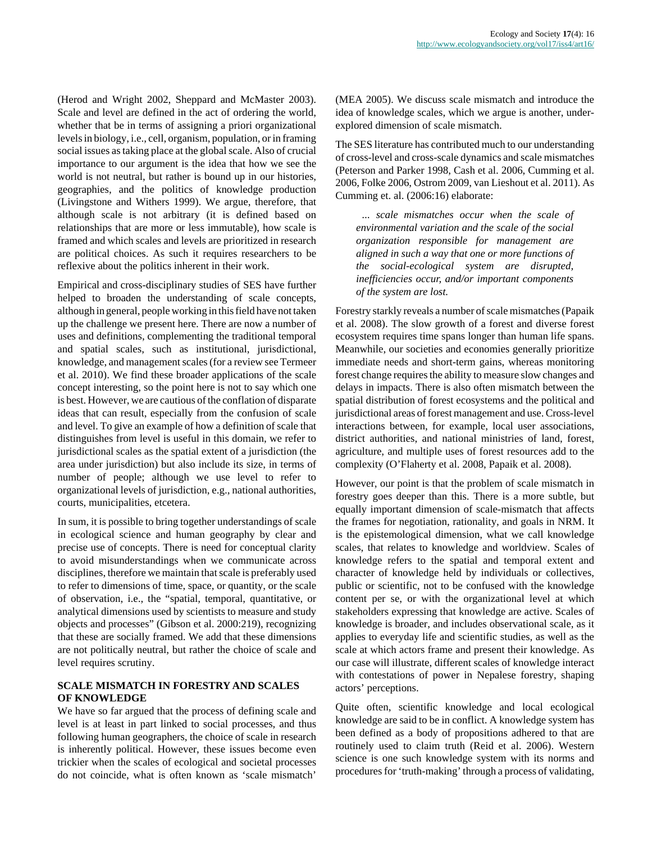(Herod and Wright 2002, Sheppard and McMaster 2003). Scale and level are defined in the act of ordering the world, whether that be in terms of assigning a priori organizational levels in biology, i.e., cell, organism, population, or in framing social issues as taking place at the global scale. Also of crucial importance to our argument is the idea that how we see the world is not neutral, but rather is bound up in our histories, geographies, and the politics of knowledge production (Livingstone and Withers 1999). We argue, therefore, that although scale is not arbitrary (it is defined based on relationships that are more or less immutable), how scale is framed and which scales and levels are prioritized in research are political choices. As such it requires researchers to be reflexive about the politics inherent in their work.

Empirical and cross-disciplinary studies of SES have further helped to broaden the understanding of scale concepts, although in general, people working in this field have not taken up the challenge we present here. There are now a number of uses and definitions, complementing the traditional temporal and spatial scales, such as institutional, jurisdictional, knowledge, and management scales (for a review see Termeer et al. 2010). We find these broader applications of the scale concept interesting, so the point here is not to say which one is best. However, we are cautious of the conflation of disparate ideas that can result, especially from the confusion of scale and level. To give an example of how a definition of scale that distinguishes from level is useful in this domain, we refer to jurisdictional scales as the spatial extent of a jurisdiction (the area under jurisdiction) but also include its size, in terms of number of people; although we use level to refer to organizational levels of jurisdiction, e.g., national authorities, courts, municipalities, etcetera.

In sum, it is possible to bring together understandings of scale in ecological science and human geography by clear and precise use of concepts. There is need for conceptual clarity to avoid misunderstandings when we communicate across disciplines, therefore we maintain that scale is preferably used to refer to dimensions of time, space, or quantity, or the scale of observation, i.e., the "spatial, temporal, quantitative, or analytical dimensions used by scientists to measure and study objects and processes" (Gibson et al. 2000:219), recognizing that these are socially framed. We add that these dimensions are not politically neutral, but rather the choice of scale and level requires scrutiny.

# **SCALE MISMATCH IN FORESTRY AND SCALES OF KNOWLEDGE**

We have so far argued that the process of defining scale and level is at least in part linked to social processes, and thus following human geographers, the choice of scale in research is inherently political. However, these issues become even trickier when the scales of ecological and societal processes do not coincide, what is often known as 'scale mismatch'

(MEA 2005). We discuss scale mismatch and introduce the idea of knowledge scales, which we argue is another, underexplored dimension of scale mismatch.

The SES literature has contributed much to our understanding of cross-level and cross-scale dynamics and scale mismatches (Peterson and Parker 1998, Cash et al. 2006, Cumming et al. 2006, Folke 2006, Ostrom 2009, van Lieshout et al. 2011). As Cumming et. al. (2006:16) elaborate:

*... scale mismatches occur when the scale of environmental variation and the scale of the social organization responsible for management are aligned in such a way that one or more functions of the social-ecological system are disrupted, inefficiencies occur, and/or important components of the system are lost.* 

Forestry starkly reveals a number of scale mismatches (Papaik et al. 2008). The slow growth of a forest and diverse forest ecosystem requires time spans longer than human life spans. Meanwhile, our societies and economies generally prioritize immediate needs and short-term gains, whereas monitoring forest change requires the ability to measure slow changes and delays in impacts. There is also often mismatch between the spatial distribution of forest ecosystems and the political and jurisdictional areas of forest management and use. Cross-level interactions between, for example, local user associations, district authorities, and national ministries of land, forest, agriculture, and multiple uses of forest resources add to the complexity (O'Flaherty et al. 2008, Papaik et al. 2008).

However, our point is that the problem of scale mismatch in forestry goes deeper than this. There is a more subtle, but equally important dimension of scale-mismatch that affects the frames for negotiation, rationality, and goals in NRM. It is the epistemological dimension, what we call knowledge scales, that relates to knowledge and worldview. Scales of knowledge refers to the spatial and temporal extent and character of knowledge held by individuals or collectives, public or scientific, not to be confused with the knowledge content per se, or with the organizational level at which stakeholders expressing that knowledge are active. Scales of knowledge is broader, and includes observational scale, as it applies to everyday life and scientific studies, as well as the scale at which actors frame and present their knowledge. As our case will illustrate, different scales of knowledge interact with contestations of power in Nepalese forestry, shaping actors' perceptions.

Quite often, scientific knowledge and local ecological knowledge are said to be in conflict. A knowledge system has been defined as a body of propositions adhered to that are routinely used to claim truth (Reid et al. 2006). Western science is one such knowledge system with its norms and procedures for 'truth-making' through a process of validating,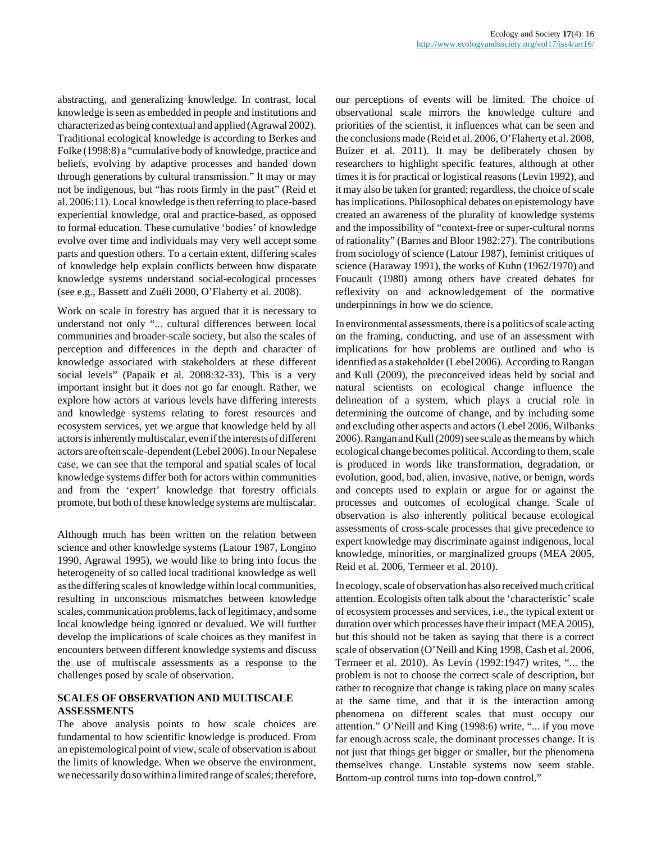abstracting, and generalizing knowledge. In contrast, local knowledge is seen as embedded in people and institutions and characterized as being contextual and applied (Agrawal 2002). Traditional ecological knowledge is according to Berkes and Folke (1998:8) a "cumulative body of knowledge, practice and beliefs, evolving by adaptive processes and handed down through generations by cultural transmission." It may or may not be indigenous, but "has roots firmly in the past" (Reid et al. 2006:11). Local knowledge is then referring to place-based experiential knowledge, oral and practice-based, as opposed to formal education. These cumulative 'bodies' of knowledge evolve over time and individuals may very well accept some parts and question others. To a certain extent, differing scales of knowledge help explain conflicts between how disparate knowledge systems understand social-ecological processes (see e.g., Bassett and Zuéli 2000, O'Flaherty et al. 2008).

Work on scale in forestry has argued that it is necessary to understand not only "... cultural differences between local communities and broader-scale society, but also the scales of perception and differences in the depth and character of knowledge associated with stakeholders at these different social levels" (Papaik et al. 2008:32-33). This is a very important insight but it does not go far enough. Rather, we explore how actors at various levels have differing interests and knowledge systems relating to forest resources and ecosystem services, yet we argue that knowledge held by all actors is inherently multiscalar, even if the interests of different actors are often scale-dependent (Lebel 2006). In our Nepalese case, we can see that the temporal and spatial scales of local knowledge systems differ both for actors within communities and from the 'expert' knowledge that forestry officials promote, but both of these knowledge systems are multiscalar.

Although much has been written on the relation between science and other knowledge systems (Latour 1987, Longino 1990, Agrawal 1995), we would like to bring into focus the heterogeneity of so called local traditional knowledge as well as the differing scales of knowledge within local communities, resulting in unconscious mismatches between knowledge scales, communication problems, lack of legitimacy, and some local knowledge being ignored or devalued. We will further develop the implications of scale choices as they manifest in encounters between different knowledge systems and discuss the use of multiscale assessments as a response to the challenges posed by scale of observation.

#### **SCALES OF OBSERVATION AND MULTISCALE ASSESSMENTS**

The above analysis points to how scale choices are fundamental to how scientific knowledge is produced. From an epistemological point of view, scale of observation is about the limits of knowledge. When we observe the environment, we necessarily do so within a limited range of scales; therefore, our perceptions of events will be limited. The choice of observational scale mirrors the knowledge culture and priorities of the scientist, it influences what can be seen and the conclusions made (Reid et al. 2006, O'Flaherty et al. 2008, Buizer et al. 2011). It may be deliberately chosen by researchers to highlight specific features, although at other times it is for practical or logistical reasons (Levin 1992), and it may also be taken for granted; regardless, the choice of scale has implications. Philosophical debates on epistemology have created an awareness of the plurality of knowledge systems and the impossibility of "context-free or super-cultural norms of rationality" (Barnes and Bloor 1982:27). The contributions from sociology of science (Latour 1987), feminist critiques of science (Haraway 1991), the works of Kuhn (1962/1970) and Foucault (1980) among others have created debates for reflexivity on and acknowledgement of the normative underpinnings in how we do science.

In environmental assessments, there is a politics of scale acting on the framing, conducting, and use of an assessment with implications for how problems are outlined and who is identified as a stakeholder (Lebel 2006). According to Rangan and Kull (2009), the preconceived ideas held by social and natural scientists on ecological change influence the delineation of a system, which plays a crucial role in determining the outcome of change, and by including some and excluding other aspects and actors (Lebel 2006, Wilbanks 2006). Rangan and Kull (2009) see scale as the means by which ecological change becomes political. According to them, scale is produced in words like transformation, degradation, or evolution, good, bad, alien, invasive, native, or benign, words and concepts used to explain or argue for or against the processes and outcomes of ecological change. Scale of observation is also inherently political because ecological assessments of cross-scale processes that give precedence to expert knowledge may discriminate against indigenous, local knowledge, minorities, or marginalized groups (MEA 2005, Reid et al. 2006, Termeer et al. 2010).

In ecology, scale of observation has also received much critical attention. Ecologists often talk about the 'characteristic' scale of ecosystem processes and services, i.e., the typical extent or duration over which processes have their impact (MEA 2005), but this should not be taken as saying that there is a correct scale of observation (O'Neill and King 1998, Cash et al. 2006, Termeer et al. 2010). As Levin (1992:1947) writes, "... the problem is not to choose the correct scale of description, but rather to recognize that change is taking place on many scales at the same time, and that it is the interaction among phenomena on different scales that must occupy our attention." O'Neill and King (1998:6) write, "... if you move far enough across scale, the dominant processes change. It is not just that things get bigger or smaller, but the phenomena themselves change. Unstable systems now seem stable. Bottom-up control turns into top-down control."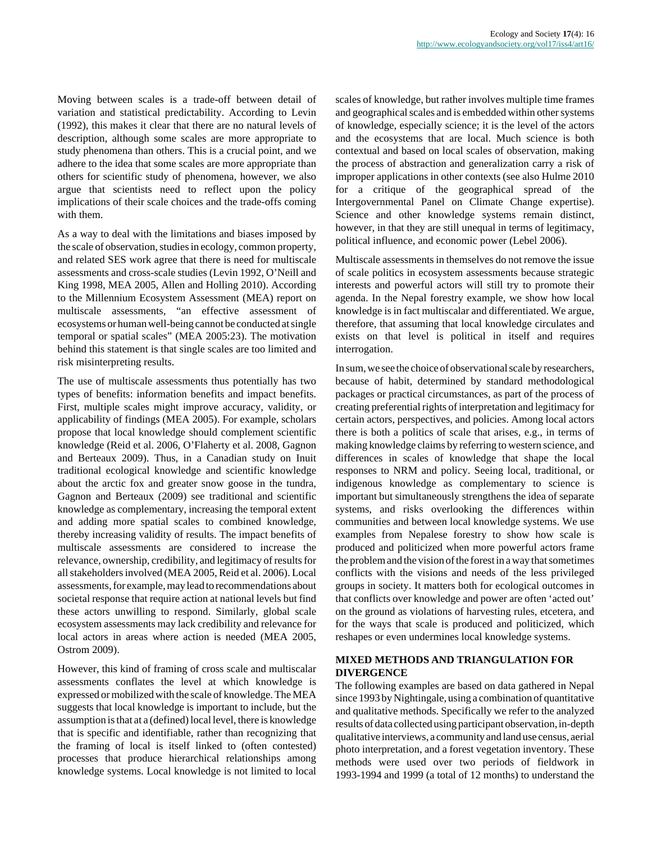Moving between scales is a trade-off between detail of variation and statistical predictability. According to Levin (1992), this makes it clear that there are no natural levels of description, although some scales are more appropriate to study phenomena than others. This is a crucial point, and we adhere to the idea that some scales are more appropriate than others for scientific study of phenomena, however, we also argue that scientists need to reflect upon the policy implications of their scale choices and the trade-offs coming with them.

As a way to deal with the limitations and biases imposed by the scale of observation, studies in ecology, common property, and related SES work agree that there is need for multiscale assessments and cross-scale studies (Levin 1992, O'Neill and King 1998, MEA 2005, Allen and Holling 2010). According to the Millennium Ecosystem Assessment (MEA) report on multiscale assessments, "an effective assessment of ecosystems or human well-being cannot be conducted at single temporal or spatial scales" (MEA 2005:23). The motivation behind this statement is that single scales are too limited and risk misinterpreting results.

The use of multiscale assessments thus potentially has two types of benefits: information benefits and impact benefits. First, multiple scales might improve accuracy, validity, or applicability of findings (MEA 2005). For example, scholars propose that local knowledge should complement scientific knowledge (Reid et al. 2006, O'Flaherty et al. 2008, Gagnon and Berteaux 2009). Thus, in a Canadian study on Inuit traditional ecological knowledge and scientific knowledge about the arctic fox and greater snow goose in the tundra, Gagnon and Berteaux (2009) see traditional and scientific knowledge as complementary, increasing the temporal extent and adding more spatial scales to combined knowledge, thereby increasing validity of results. The impact benefits of multiscale assessments are considered to increase the relevance, ownership, credibility, and legitimacy of results for all stakeholders involved (MEA 2005, Reid et al. 2006). Local assessments, for example, may lead to recommendations about societal response that require action at national levels but find these actors unwilling to respond. Similarly, global scale ecosystem assessments may lack credibility and relevance for local actors in areas where action is needed (MEA 2005, Ostrom 2009).

However, this kind of framing of cross scale and multiscalar assessments conflates the level at which knowledge is expressed or mobilized with the scale of knowledge. The MEA suggests that local knowledge is important to include, but the assumption is that at a (defined) local level, there is knowledge that is specific and identifiable, rather than recognizing that the framing of local is itself linked to (often contested) processes that produce hierarchical relationships among knowledge systems. Local knowledge is not limited to local scales of knowledge, but rather involves multiple time frames and geographical scales and is embedded within other systems of knowledge, especially science; it is the level of the actors and the ecosystems that are local. Much science is both contextual and based on local scales of observation, making the process of abstraction and generalization carry a risk of improper applications in other contexts (see also Hulme 2010 for a critique of the geographical spread of the Intergovernmental Panel on Climate Change expertise). Science and other knowledge systems remain distinct, however, in that they are still unequal in terms of legitimacy, political influence, and economic power (Lebel 2006).

Multiscale assessments in themselves do not remove the issue of scale politics in ecosystem assessments because strategic interests and powerful actors will still try to promote their agenda. In the Nepal forestry example, we show how local knowledge is in fact multiscalar and differentiated. We argue, therefore, that assuming that local knowledge circulates and exists on that level is political in itself and requires interrogation.

In sum, we see the choice of observational scale by researchers, because of habit, determined by standard methodological packages or practical circumstances, as part of the process of creating preferential rights of interpretation and legitimacy for certain actors, perspectives, and policies. Among local actors there is both a politics of scale that arises, e.g., in terms of making knowledge claims by referring to western science, and differences in scales of knowledge that shape the local responses to NRM and policy. Seeing local, traditional, or indigenous knowledge as complementary to science is important but simultaneously strengthens the idea of separate systems, and risks overlooking the differences within communities and between local knowledge systems. We use examples from Nepalese forestry to show how scale is produced and politicized when more powerful actors frame the problem and the vision of the forest in a way that sometimes conflicts with the visions and needs of the less privileged groups in society. It matters both for ecological outcomes in that conflicts over knowledge and power are often 'acted out' on the ground as violations of harvesting rules, etcetera, and for the ways that scale is produced and politicized, which reshapes or even undermines local knowledge systems.

# **MIXED METHODS AND TRIANGULATION FOR DIVERGENCE**

The following examples are based on data gathered in Nepal since 1993 by Nightingale, using a combination of quantitative and qualitative methods. Specifically we refer to the analyzed results of data collected using participant observation, in-depth qualitative interviews, a community and land use census, aerial photo interpretation, and a forest vegetation inventory. These methods were used over two periods of fieldwork in 1993-1994 and 1999 (a total of 12 months) to understand the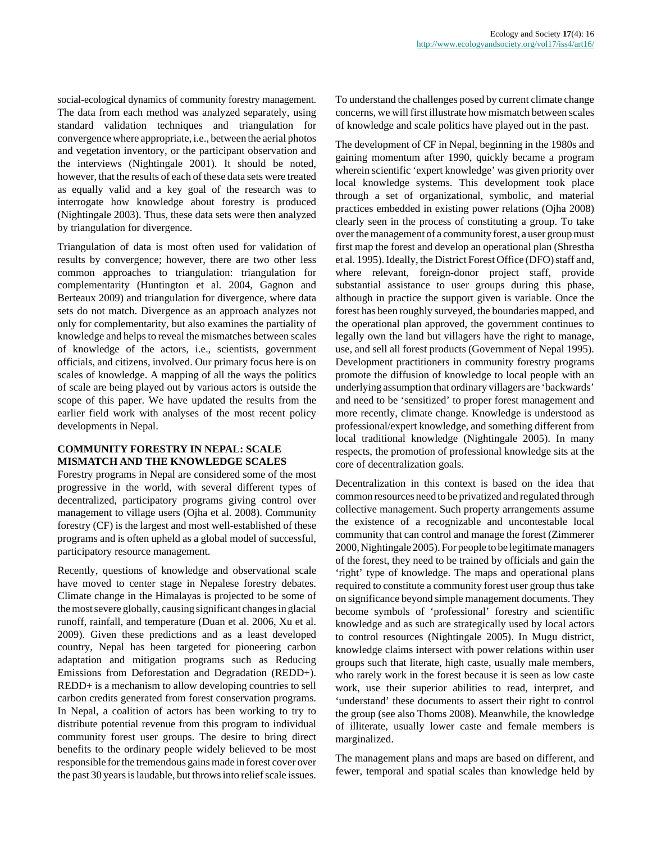social-ecological dynamics of community forestry management. The data from each method was analyzed separately, using standard validation techniques and triangulation for convergence where appropriate, i.e., between the aerial photos and vegetation inventory, or the participant observation and the interviews (Nightingale 2001). It should be noted, however, that the results of each of these data sets were treated as equally valid and a key goal of the research was to interrogate how knowledge about forestry is produced (Nightingale 2003). Thus, these data sets were then analyzed by triangulation for divergence.

Triangulation of data is most often used for validation of results by convergence; however, there are two other less common approaches to triangulation: triangulation for complementarity (Huntington et al. 2004, Gagnon and Berteaux 2009) and triangulation for divergence, where data sets do not match. Divergence as an approach analyzes not only for complementarity, but also examines the partiality of knowledge and helps to reveal the mismatches between scales of knowledge of the actors, i.e., scientists, government officials, and citizens, involved. Our primary focus here is on scales of knowledge. A mapping of all the ways the politics of scale are being played out by various actors is outside the scope of this paper. We have updated the results from the earlier field work with analyses of the most recent policy developments in Nepal.

## **COMMUNITY FORESTRY IN NEPAL: SCALE MISMATCH AND THE KNOWLEDGE SCALES**

Forestry programs in Nepal are considered some of the most progressive in the world, with several different types of decentralized, participatory programs giving control over management to village users (Ojha et al. 2008). Community forestry (CF) is the largest and most well-established of these programs and is often upheld as a global model of successful, participatory resource management.

Recently, questions of knowledge and observational scale have moved to center stage in Nepalese forestry debates. Climate change in the Himalayas is projected to be some of the most severe globally, causing significant changes in glacial runoff, rainfall, and temperature (Duan et al. 2006, Xu et al. 2009). Given these predictions and as a least developed country, Nepal has been targeted for pioneering carbon adaptation and mitigation programs such as Reducing Emissions from Deforestation and Degradation (REDD+). REDD+ is a mechanism to allow developing countries to sell carbon credits generated from forest conservation programs. In Nepal, a coalition of actors has been working to try to distribute potential revenue from this program to individual community forest user groups. The desire to bring direct benefits to the ordinary people widely believed to be most responsible for the tremendous gains made in forest cover over the past 30 years is laudable, but throws into relief scale issues.

To understand the challenges posed by current climate change concerns, we will first illustrate how mismatch between scales of knowledge and scale politics have played out in the past.

The development of CF in Nepal, beginning in the 1980s and gaining momentum after 1990, quickly became a program wherein scientific 'expert knowledge' was given priority over local knowledge systems. This development took place through a set of organizational, symbolic, and material practices embedded in existing power relations (Ojha 2008) clearly seen in the process of constituting a group. To take over the management of a community forest, a user group must first map the forest and develop an operational plan (Shrestha et al. 1995). Ideally, the District Forest Office (DFO) staff and, where relevant, foreign-donor project staff, provide substantial assistance to user groups during this phase, although in practice the support given is variable. Once the forest has been roughly surveyed, the boundaries mapped, and the operational plan approved, the government continues to legally own the land but villagers have the right to manage, use, and sell all forest products (Government of Nepal 1995). Development practitioners in community forestry programs promote the diffusion of knowledge to local people with an underlying assumption that ordinary villagers are 'backwards' and need to be 'sensitized' to proper forest management and more recently, climate change. Knowledge is understood as professional/expert knowledge, and something different from local traditional knowledge (Nightingale 2005). In many respects, the promotion of professional knowledge sits at the core of decentralization goals.

Decentralization in this context is based on the idea that common resources need to be privatized and regulated through collective management. Such property arrangements assume the existence of a recognizable and uncontestable local community that can control and manage the forest (Zimmerer 2000, Nightingale 2005). For people to be legitimate managers of the forest, they need to be trained by officials and gain the 'right' type of knowledge. The maps and operational plans required to constitute a community forest user group thus take on significance beyond simple management documents. They become symbols of 'professional' forestry and scientific knowledge and as such are strategically used by local actors to control resources (Nightingale 2005). In Mugu district, knowledge claims intersect with power relations within user groups such that literate, high caste, usually male members, who rarely work in the forest because it is seen as low caste work, use their superior abilities to read, interpret, and 'understand' these documents to assert their right to control the group (see also Thoms 2008). Meanwhile, the knowledge of illiterate, usually lower caste and female members is marginalized.

The management plans and maps are based on different, and fewer, temporal and spatial scales than knowledge held by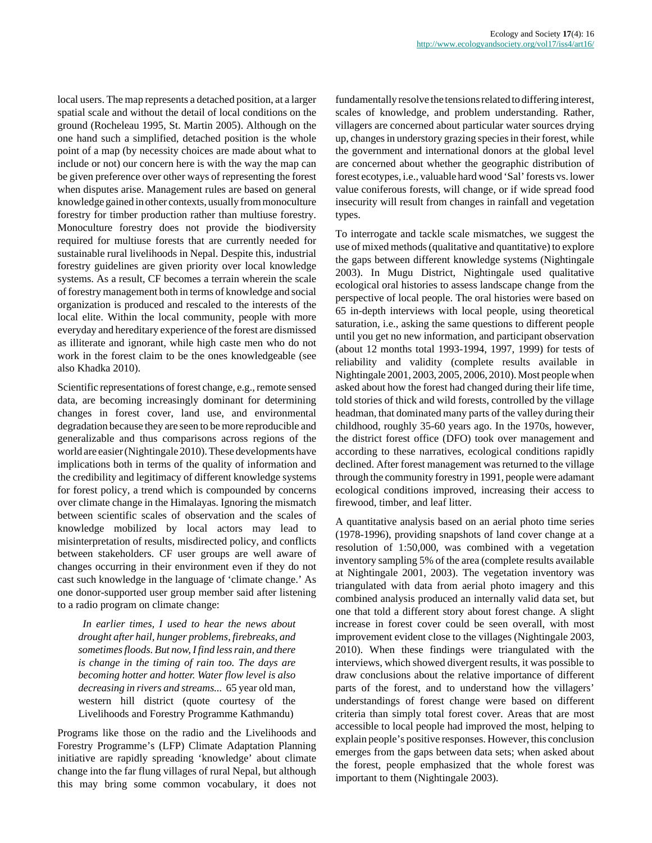local users. The map represents a detached position, at a larger spatial scale and without the detail of local conditions on the ground (Rocheleau 1995, St. Martin 2005). Although on the one hand such a simplified, detached position is the whole point of a map (by necessity choices are made about what to include or not) our concern here is with the way the map can be given preference over other ways of representing the forest when disputes arise. Management rules are based on general knowledge gained in other contexts, usually from monoculture forestry for timber production rather than multiuse forestry. Monoculture forestry does not provide the biodiversity required for multiuse forests that are currently needed for sustainable rural livelihoods in Nepal. Despite this, industrial forestry guidelines are given priority over local knowledge systems. As a result, CF becomes a terrain wherein the scale of forestry management both in terms of knowledge and social organization is produced and rescaled to the interests of the local elite. Within the local community, people with more everyday and hereditary experience of the forest are dismissed as illiterate and ignorant, while high caste men who do not work in the forest claim to be the ones knowledgeable (see also Khadka 2010).

Scientific representations of forest change, e.g., remote sensed data, are becoming increasingly dominant for determining changes in forest cover, land use, and environmental degradation because they are seen to be more reproducible and generalizable and thus comparisons across regions of the world are easier (Nightingale 2010). These developments have implications both in terms of the quality of information and the credibility and legitimacy of different knowledge systems for forest policy, a trend which is compounded by concerns over climate change in the Himalayas. Ignoring the mismatch between scientific scales of observation and the scales of knowledge mobilized by local actors may lead to misinterpretation of results, misdirected policy, and conflicts between stakeholders. CF user groups are well aware of changes occurring in their environment even if they do not cast such knowledge in the language of 'climate change.' As one donor-supported user group member said after listening to a radio program on climate change:

*In earlier times, I used to hear the news about drought after hail, hunger problems, firebreaks, and sometimes floods. But now, I find less rain, and there is change in the timing of rain too. The days are becoming hotter and hotter. Water flow level is also decreasing in rivers and streams...* 65 year old man, western hill district (quote courtesy of the Livelihoods and Forestry Programme Kathmandu)

Programs like those on the radio and the Livelihoods and Forestry Programme's (LFP) Climate Adaptation Planning initiative are rapidly spreading 'knowledge' about climate change into the far flung villages of rural Nepal, but although this may bring some common vocabulary, it does not fundamentally resolve the tensions related to differing interest, scales of knowledge, and problem understanding. Rather, villagers are concerned about particular water sources drying up, changes in understory grazing species in their forest, while the government and international donors at the global level are concerned about whether the geographic distribution of forest ecotypes, i.e., valuable hard wood 'Sal' forests vs. lower value coniferous forests, will change, or if wide spread food insecurity will result from changes in rainfall and vegetation types.

To interrogate and tackle scale mismatches, we suggest the use of mixed methods (qualitative and quantitative) to explore the gaps between different knowledge systems (Nightingale 2003). In Mugu District, Nightingale used qualitative ecological oral histories to assess landscape change from the perspective of local people. The oral histories were based on 65 in-depth interviews with local people, using theoretical saturation, i.e., asking the same questions to different people until you get no new information, and participant observation (about 12 months total 1993-1994, 1997, 1999) for tests of reliability and validity (complete results available in Nightingale 2001, 2003, 2005, 2006, 2010). Most people when asked about how the forest had changed during their life time, told stories of thick and wild forests, controlled by the village headman, that dominated many parts of the valley during their childhood, roughly 35-60 years ago. In the 1970s, however, the district forest office (DFO) took over management and according to these narratives, ecological conditions rapidly declined. After forest management was returned to the village through the community forestry in 1991, people were adamant ecological conditions improved, increasing their access to firewood, timber, and leaf litter.

A quantitative analysis based on an aerial photo time series (1978-1996), providing snapshots of land cover change at a resolution of 1:50,000, was combined with a vegetation inventory sampling 5% of the area (complete results available at Nightingale 2001, 2003). The vegetation inventory was triangulated with data from aerial photo imagery and this combined analysis produced an internally valid data set, but one that told a different story about forest change. A slight increase in forest cover could be seen overall, with most improvement evident close to the villages (Nightingale 2003, 2010). When these findings were triangulated with the interviews, which showed divergent results, it was possible to draw conclusions about the relative importance of different parts of the forest, and to understand how the villagers' understandings of forest change were based on different criteria than simply total forest cover. Areas that are most accessible to local people had improved the most, helping to explain people's positive responses. However, this conclusion emerges from the gaps between data sets; when asked about the forest, people emphasized that the whole forest was important to them (Nightingale 2003).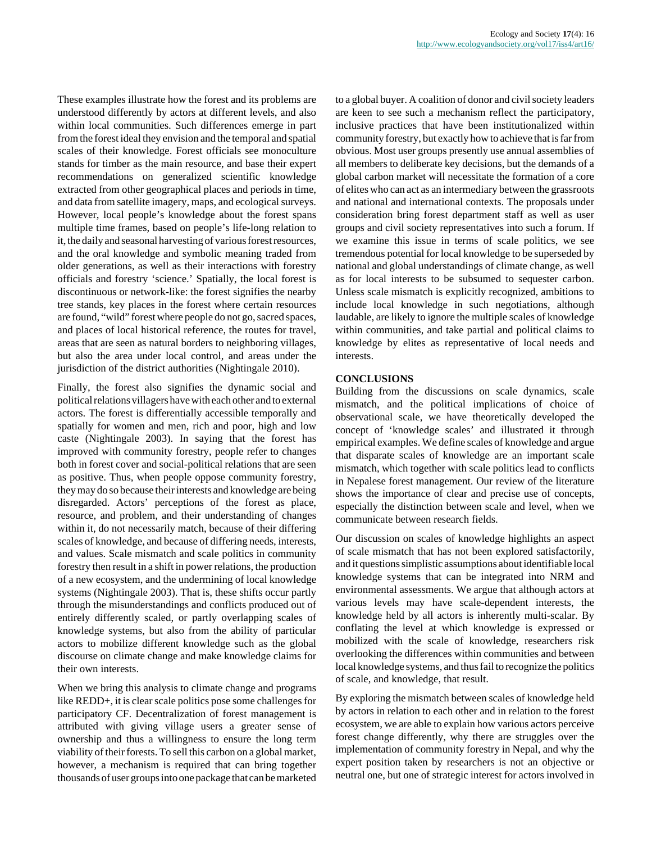These examples illustrate how the forest and its problems are understood differently by actors at different levels, and also within local communities. Such differences emerge in part from the forest ideal they envision and the temporal and spatial scales of their knowledge. Forest officials see monoculture stands for timber as the main resource, and base their expert recommendations on generalized scientific knowledge extracted from other geographical places and periods in time, and data from satellite imagery, maps, and ecological surveys. However, local people's knowledge about the forest spans multiple time frames, based on people's life-long relation to it, the daily and seasonal harvesting of various forest resources, and the oral knowledge and symbolic meaning traded from older generations, as well as their interactions with forestry officials and forestry 'science.' Spatially, the local forest is discontinuous or network-like: the forest signifies the nearby tree stands, key places in the forest where certain resources are found, "wild" forest where people do not go, sacred spaces, and places of local historical reference, the routes for travel, areas that are seen as natural borders to neighboring villages, but also the area under local control, and areas under the jurisdiction of the district authorities (Nightingale 2010).

Finally, the forest also signifies the dynamic social and political relations villagers have with each other and to external actors. The forest is differentially accessible temporally and spatially for women and men, rich and poor, high and low caste (Nightingale 2003). In saying that the forest has improved with community forestry, people refer to changes both in forest cover and social-political relations that are seen as positive. Thus, when people oppose community forestry, they may do so because their interests and knowledge are being disregarded. Actors' perceptions of the forest as place, resource, and problem, and their understanding of changes within it, do not necessarily match, because of their differing scales of knowledge, and because of differing needs, interests, and values. Scale mismatch and scale politics in community forestry then result in a shift in power relations, the production of a new ecosystem, and the undermining of local knowledge systems (Nightingale 2003). That is, these shifts occur partly through the misunderstandings and conflicts produced out of entirely differently scaled, or partly overlapping scales of knowledge systems, but also from the ability of particular actors to mobilize different knowledge such as the global discourse on climate change and make knowledge claims for their own interests.

When we bring this analysis to climate change and programs like REDD+, it is clear scale politics pose some challenges for participatory CF. Decentralization of forest management is attributed with giving village users a greater sense of ownership and thus a willingness to ensure the long term viability of their forests. To sell this carbon on a global market, however, a mechanism is required that can bring together thousands of user groups into one package that can be marketed to a global buyer. A coalition of donor and civil society leaders are keen to see such a mechanism reflect the participatory, inclusive practices that have been institutionalized within community forestry, but exactly how to achieve that is far from obvious. Most user groups presently use annual assemblies of all members to deliberate key decisions, but the demands of a global carbon market will necessitate the formation of a core of elites who can act as an intermediary between the grassroots and national and international contexts. The proposals under consideration bring forest department staff as well as user groups and civil society representatives into such a forum. If we examine this issue in terms of scale politics, we see tremendous potential for local knowledge to be superseded by national and global understandings of climate change, as well as for local interests to be subsumed to sequester carbon. Unless scale mismatch is explicitly recognized, ambitions to include local knowledge in such negotiations, although laudable, are likely to ignore the multiple scales of knowledge within communities, and take partial and political claims to knowledge by elites as representative of local needs and interests.

## **CONCLUSIONS**

Building from the discussions on scale dynamics, scale mismatch, and the political implications of choice of observational scale, we have theoretically developed the concept of 'knowledge scales' and illustrated it through empirical examples. We define scales of knowledge and argue that disparate scales of knowledge are an important scale mismatch, which together with scale politics lead to conflicts in Nepalese forest management. Our review of the literature shows the importance of clear and precise use of concepts, especially the distinction between scale and level, when we communicate between research fields.

Our discussion on scales of knowledge highlights an aspect of scale mismatch that has not been explored satisfactorily, and it questions simplistic assumptions about identifiable local knowledge systems that can be integrated into NRM and environmental assessments. We argue that although actors at various levels may have scale-dependent interests, the knowledge held by all actors is inherently multi-scalar. By conflating the level at which knowledge is expressed or mobilized with the scale of knowledge, researchers risk overlooking the differences within communities and between local knowledge systems, and thus fail to recognize the politics of scale, and knowledge, that result.

By exploring the mismatch between scales of knowledge held by actors in relation to each other and in relation to the forest ecosystem, we are able to explain how various actors perceive forest change differently, why there are struggles over the implementation of community forestry in Nepal, and why the expert position taken by researchers is not an objective or neutral one, but one of strategic interest for actors involved in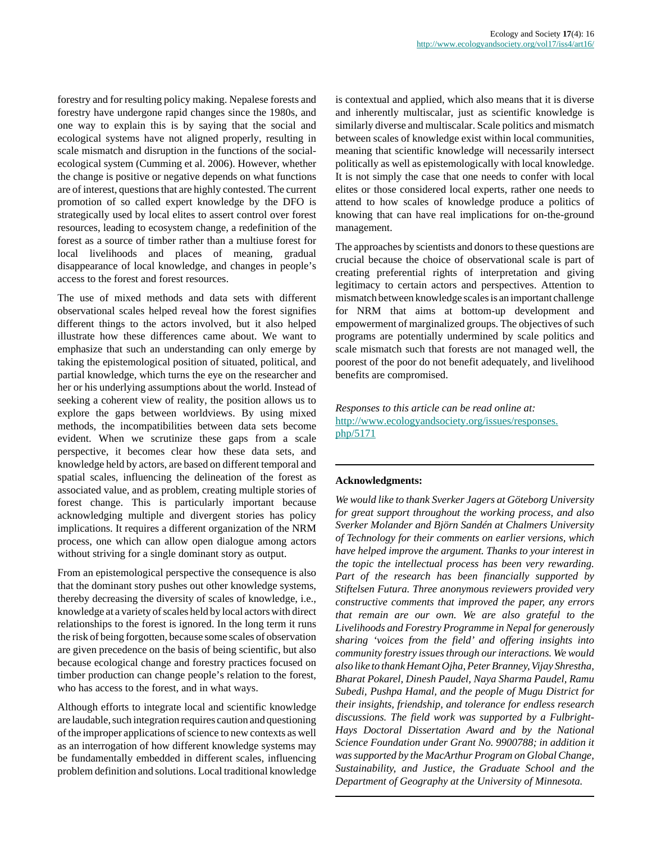forestry and for resulting policy making. Nepalese forests and forestry have undergone rapid changes since the 1980s, and one way to explain this is by saying that the social and ecological systems have not aligned properly, resulting in scale mismatch and disruption in the functions of the socialecological system (Cumming et al. 2006). However, whether the change is positive or negative depends on what functions are of interest, questions that are highly contested. The current promotion of so called expert knowledge by the DFO is strategically used by local elites to assert control over forest resources, leading to ecosystem change, a redefinition of the forest as a source of timber rather than a multiuse forest for local livelihoods and places of meaning, gradual disappearance of local knowledge, and changes in people's access to the forest and forest resources.

The use of mixed methods and data sets with different observational scales helped reveal how the forest signifies different things to the actors involved, but it also helped illustrate how these differences came about. We want to emphasize that such an understanding can only emerge by taking the epistemological position of situated, political, and partial knowledge, which turns the eye on the researcher and her or his underlying assumptions about the world. Instead of seeking a coherent view of reality, the position allows us to explore the gaps between worldviews. By using mixed methods, the incompatibilities between data sets become evident. When we scrutinize these gaps from a scale perspective, it becomes clear how these data sets, and knowledge held by actors, are based on different temporal and spatial scales, influencing the delineation of the forest as associated value, and as problem, creating multiple stories of forest change. This is particularly important because acknowledging multiple and divergent stories has policy implications. It requires a different organization of the NRM process, one which can allow open dialogue among actors without striving for a single dominant story as output.

From an epistemological perspective the consequence is also that the dominant story pushes out other knowledge systems, thereby decreasing the diversity of scales of knowledge, i.e., knowledge at a variety of scales held by local actors with direct relationships to the forest is ignored. In the long term it runs the risk of being forgotten, because some scales of observation are given precedence on the basis of being scientific, but also because ecological change and forestry practices focused on timber production can change people's relation to the forest, who has access to the forest, and in what ways.

Although efforts to integrate local and scientific knowledge are laudable, such integration requires caution and questioning of the improper applications of science to new contexts as well as an interrogation of how different knowledge systems may be fundamentally embedded in different scales, influencing problem definition and solutions. Local traditional knowledge is contextual and applied, which also means that it is diverse and inherently multiscalar, just as scientific knowledge is similarly diverse and multiscalar. Scale politics and mismatch between scales of knowledge exist within local communities, meaning that scientific knowledge will necessarily intersect politically as well as epistemologically with local knowledge. It is not simply the case that one needs to confer with local elites or those considered local experts, rather one needs to attend to how scales of knowledge produce a politics of knowing that can have real implications for on-the-ground management.

The approaches by scientists and donors to these questions are crucial because the choice of observational scale is part of creating preferential rights of interpretation and giving legitimacy to certain actors and perspectives. Attention to mismatch between knowledge scales is an important challenge for NRM that aims at bottom-up development and empowerment of marginalized groups. The objectives of such programs are potentially undermined by scale politics and scale mismatch such that forests are not managed well, the poorest of the poor do not benefit adequately, and livelihood benefits are compromised.

*Responses to this article can be read online at:* [http://www.ecologyandsociety.org/issues/responses.](http://www.ecologyandsociety.org/issues/responses.php/5171) [php/5171](http://www.ecologyandsociety.org/issues/responses.php/5171)

## **Acknowledgments:**

*We would like to thank Sverker Jagers at Göteborg University for great support throughout the working process, and also Sverker Molander and Björn Sandén at Chalmers University of Technology for their comments on earlier versions, which have helped improve the argument. Thanks to your interest in the topic the intellectual process has been very rewarding. Part of the research has been financially supported by Stiftelsen Futura. Three anonymous reviewers provided very constructive comments that improved the paper, any errors that remain are our own. We are also grateful to the Livelihoods and Forestry Programme in Nepal for generously sharing 'voices from the field' and offering insights into community forestry issues through our interactions. We would also like to thank Hemant Ojha, Peter Branney, Vijay Shrestha, Bharat Pokarel, Dinesh Paudel, Naya Sharma Paudel, Ramu Subedi, Pushpa Hamal, and the people of Mugu District for their insights, friendship, and tolerance for endless research discussions. The field work was supported by a Fulbright-Hays Doctoral Dissertation Award and by the National Science Foundation under Grant No. 9900788; in addition it was supported by the MacArthur Program on Global Change, Sustainability, and Justice, the Graduate School and the Department of Geography at the University of Minnesota.*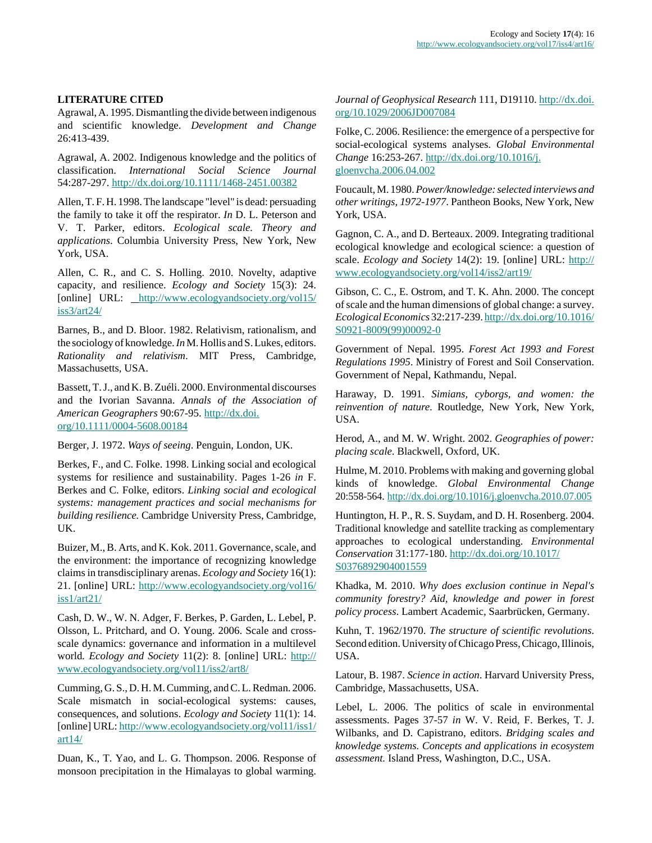## **LITERATURE CITED**

Agrawal, A. 1995. Dismantling the divide between indigenous and scientific knowledge. *Development and Change* 26:413-439.

Agrawal, A. 2002. Indigenous knowledge and the politics of classification. *International Social Science Journal* 54:287-297.<http://dx.doi.org/10.1111/1468-2451.00382>

Allen, T. F. H. 1998. The landscape "level" is dead: persuading the family to take it off the respirator. *In* D. L. Peterson and V. T. Parker, editors. *Ecological scale. Theory and applications*. Columbia University Press, New York, New York, USA.

Allen, C. R., and C. S. Holling. 2010. Novelty, adaptive capacity, and resilience. *Ecology and Society* 15(3): 24. [online] URL: [http://www.ecologyandsociety.org/vol15/](http://www.ecologyandsociety.org/vol15/iss3/art24/) [iss3/art24/](http://www.ecologyandsociety.org/vol15/iss3/art24/)

Barnes, B., and D. Bloor. 1982. Relativism, rationalism, and the sociology of knowledge. *In* M. Hollis and S. Lukes, editors. *Rationality and relativism*. MIT Press, Cambridge, Massachusetts, USA.

Bassett, T. J., and K. B. Zuéli. 2000. Environmental discourses and the Ivorian Savanna. *Annals of the Association of American Geographers* 90:67-95. [http://dx.doi.](http://dx.doi.org/10.1111/0004-5608.00184) [org/10.1111/0004-5608.00184](http://dx.doi.org/10.1111/0004-5608.00184)

Berger, J. 1972. *Ways of seeing*. Penguin, London, UK.

Berkes, F., and C. Folke. 1998. Linking social and ecological systems for resilience and sustainability. Pages 1-26 *in* F. Berkes and C. Folke, editors. *Linking social and ecological systems: management practices and social mechanisms for building resilience.* Cambridge University Press, Cambridge, UK.

Buizer, M., B. Arts, and K. Kok. 2011. Governance, scale, and the environment: the importance of recognizing knowledge claims in transdisciplinary arenas. *Ecology and Society* 16(1): 21. [online] URL: [http://www.ecologyandsociety.org/vol16/](http://www.ecologyandsociety.org/vol16/iss1/art21/) [iss1/art21/](http://www.ecologyandsociety.org/vol16/iss1/art21/) 

Cash, D. W., W. N. Adger, F. Berkes, P. Garden, L. Lebel, P. Olsson, L. Pritchard, and O. Young. 2006. Scale and crossscale dynamics: governance and information in a multilevel world*. Ecology and Society* 11(2): 8. [online] URL: [http://](http://www.ecologyandsociety.org/vol11/iss2/art8/) [www.ecologyandsociety.org/vol11/iss2/art8/](http://www.ecologyandsociety.org/vol11/iss2/art8/)

Cumming, G. S., D. H. M. Cumming, and C. L. Redman. 2006. Scale mismatch in social-ecological systems: causes, consequences, and solutions. *Ecology and Society* 11(1): 14. [online] URL: [http://www.ecologyandsociety.org/vol11/iss1/](http://www.ecologyandsociety.org/vol11/iss1/art14/) [art14/](http://www.ecologyandsociety.org/vol11/iss1/art14/)

Duan, K., T. Yao, and L. G. Thompson. 2006. Response of monsoon precipitation in the Himalayas to global warming.

## *Journal of Geophysical Research* 111, D19110. [http://dx.doi.](http://dx.doi.org/10.1029/2006JD007084) [org/10.1029/2006JD007084](http://dx.doi.org/10.1029/2006JD007084)

Folke, C. 2006. Resilience: the emergence of a perspective for social-ecological systems analyses. *Global Environmental Change* 16:253-267. [http://dx.doi.org/10.1016/j.](http://dx.doi.org/10.1016/j.gloenvcha.2006.04.002) [gloenvcha.2006.04.002](http://dx.doi.org/10.1016/j.gloenvcha.2006.04.002)

Foucault, M. 1980. *Power/knowledge: selected interviews and other writings, 1972-1977*. Pantheon Books, New York, New York, USA.

Gagnon, C. A., and D. Berteaux. 2009. Integrating traditional ecological knowledge and ecological science: a question of scale. *Ecology and Society* 14(2): 19. [online] URL: [http://](http://www.ecologyandsociety.org/vol14/iss2/art19/) [www.ecologyandsociety.org/vol14/iss2/art19/](http://www.ecologyandsociety.org/vol14/iss2/art19/)

Gibson, C. C., E. Ostrom, and T. K. Ahn. 2000. The concept of scale and the human dimensions of global change: a survey. *Ecological Economics* 32:217-239. [http://dx.doi.org/10.1016/](http://dx.doi.org/10.1016/S0921-8009(99)00092-0) [S0921-8009\(99\)00092-0](http://dx.doi.org/10.1016/S0921-8009(99)00092-0)

Government of Nepal. 1995. *Forest Act 1993 and Forest Regulations 1995*. Ministry of Forest and Soil Conservation. Government of Nepal, Kathmandu, Nepal.

Haraway, D. 1991. *Simians, cyborgs, and women: the reinvention of nature*. Routledge, New York, New York, USA.

Herod, A., and M. W. Wright. 2002. *Geographies of power: placing scale*. Blackwell, Oxford, UK.

Hulme, M. 2010. Problems with making and governing global kinds of knowledge. *Global Environmental Change* 20:558-564. <http://dx.doi.org/10.1016/j.gloenvcha.2010.07.005>

Huntington, H. P., R. S. Suydam, and D. H. Rosenberg. 2004. Traditional knowledge and satellite tracking as complementary approaches to ecological understanding. *Environmental Conservation* 31:177-180. [http://dx.doi.org/10.1017/](http://dx.doi.org/10.1017/S0376892904001559) [S0376892904001559](http://dx.doi.org/10.1017/S0376892904001559)

Khadka, M. 2010. *Why does exclusion continue in Nepal's community forestry? Aid, knowledge and power in forest policy process*. Lambert Academic, Saarbrücken, Germany.

Kuhn, T. 1962/1970. *The structure of scientific revolutions*. Second edition. University of Chicago Press, Chicago, Illinois, USA.

Latour, B. 1987. *Science in action*. Harvard University Press, Cambridge, Massachusetts, USA.

Lebel, L. 2006. The politics of scale in environmental assessments. Pages 37-57 *in* W. V. Reid, F. Berkes, T. J. Wilbanks, and D. Capistrano, editors. *Bridging scales and knowledge systems. Concepts and applications in ecosystem assessment.* Island Press, Washington, D.C., USA.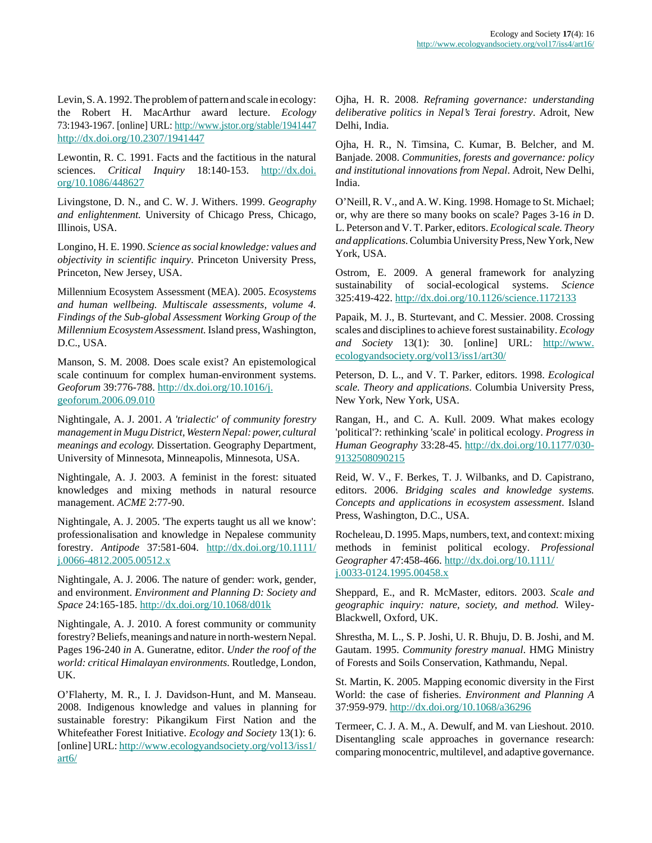Levin, S. A. 1992. The problem of pattern and scale in ecology: the Robert H. MacArthur award lecture. *Ecology* 73:1943-1967. [online] URL:<http://www.jstor.org/stable/1941447> <http://dx.doi.org/10.2307/1941447>

Lewontin, R. C. 1991. Facts and the factitious in the natural sciences. *Critical Inquiry* 18:140-153. [http://dx.doi.](http://dx.doi.org/10.1086/448627) [org/10.1086/448627](http://dx.doi.org/10.1086/448627)

Livingstone, D. N., and C. W. J. Withers. 1999. *Geography and enlightenment.* University of Chicago Press, Chicago, Illinois, USA.

Longino, H. E. 1990. *Science as social knowledge: values and objectivity in scientific inquiry*. Princeton University Press, Princeton, New Jersey, USA.

Millennium Ecosystem Assessment (MEA). 2005. *Ecosystems and human wellbeing. Multiscale assessments, volume 4. Findings of the Sub-global Assessment Working Group of the Millennium Ecosystem Assessment.* Island press, Washington, D.C., USA.

Manson, S. M. 2008. Does scale exist? An epistemological scale continuum for complex human-environment systems. *Geoforum* 39:776-788. [http://dx.doi.org/10.1016/j.](http://dx.doi.org/10.1016/j.geoforum.2006.09.010) [geoforum.2006.09.010](http://dx.doi.org/10.1016/j.geoforum.2006.09.010)

Nightingale, A. J. 2001. *A 'trialectic' of community forestry management in Mugu District, Western Nepal: power, cultural meanings and ecology.* Dissertation. Geography Department, University of Minnesota, Minneapolis, Minnesota, USA.

Nightingale, A. J. 2003. A feminist in the forest: situated knowledges and mixing methods in natural resource management. *ACME* 2:77-90.

Nightingale, A. J. 2005. 'The experts taught us all we know': professionalisation and knowledge in Nepalese community forestry. *Antipode* 37:581-604. [http://dx.doi.org/10.1111/](http://dx.doi.org/10.1111/j.0066-4812.2005.00512.x) [j.0066-4812.2005.00512.x](http://dx.doi.org/10.1111/j.0066-4812.2005.00512.x)

Nightingale, A. J. 2006. The nature of gender: work, gender, and environment. *Environment and Planning D: Society and Space* 24:165-185.<http://dx.doi.org/10.1068/d01k>

Nightingale, A. J. 2010. A forest community or community forestry? Beliefs, meanings and nature in north-western Nepal. Pages 196-240 *in* A. Guneratne, editor. *Under the roof of the world: critical Himalayan environments.* Routledge, London, UK.

O'Flaherty, M. R., I. J. Davidson-Hunt, and M. Manseau. 2008. Indigenous knowledge and values in planning for sustainable forestry: Pikangikum First Nation and the Whitefeather Forest Initiative. *Ecology and Society* 13(1): 6. [online] URL: [http://www.ecologyandsociety.org/vol13/iss1/](http://www.ecologyandsociety.org/vol13/iss1/art6/) [art6/](http://www.ecologyandsociety.org/vol13/iss1/art6/)

Ojha, H. R. 2008. *Reframing governance: understanding deliberative politics in Nepal's Terai forestry*. Adroit, New Delhi, India.

Ojha, H. R., N. Timsina, C. Kumar, B. Belcher, and M. Banjade. 2008. *Communities, forests and governance: policy and institutional innovations from Nepal*. Adroit, New Delhi, India.

O'Neill, R. V., and A. W. King. 1998. Homage to St. Michael; or, why are there so many books on scale? Pages 3-16 *in* D. L. Peterson and V. T. Parker, editors. *Ecological scale. Theory and applications.* Columbia University Press, New York, New York, USA.

Ostrom, E. 2009. A general framework for analyzing sustainability of social-ecological systems. *Science* 325:419-422.<http://dx.doi.org/10.1126/science.1172133>

Papaik, M. J., B. Sturtevant, and C. Messier. 2008. Crossing scales and disciplines to achieve forest sustainability. *Ecology and Society* 13(1): 30. [online] URL: [http://www.](http://www.ecologyandsociety.org/vol13/iss1/art30/) [ecologyandsociety.org/vol13/iss1/art30/](http://www.ecologyandsociety.org/vol13/iss1/art30/)

Peterson, D. L., and V. T. Parker, editors. 1998. *Ecological scale. Theory and applications*. Columbia University Press, New York, New York, USA.

Rangan, H., and C. A. Kull. 2009. What makes ecology 'political'?: rethinking 'scale' in political ecology. *Progress in Human Geography* 33:28-45. [http://dx.doi.org/10.1177/030-](http://dx.doi.org/10.1177/0309132508090215) [9132508090215](http://dx.doi.org/10.1177/0309132508090215)

Reid, W. V., F. Berkes, T. J. Wilbanks, and D. Capistrano, editors. 2006. *Bridging scales and knowledge systems. Concepts and applications in ecosystem assessment*. Island Press, Washington, D.C., USA.

Rocheleau, D. 1995. Maps, numbers, text, and context: mixing methods in feminist political ecology. *Professional Geographer* 47:458-466. [http://dx.doi.org/10.1111/](http://dx.doi.org/10.1111/j.0033-0124.1995.00458.x) [j.0033-0124.1995.00458.x](http://dx.doi.org/10.1111/j.0033-0124.1995.00458.x)

Sheppard, E., and R. McMaster, editors. 2003. *Scale and geographic inquiry: nature, society, and method.* Wiley-Blackwell, Oxford, UK.

Shrestha, M. L., S. P. Joshi, U. R. Bhuju, D. B. Joshi, and M. Gautam. 1995. *Community forestry manual*. HMG Ministry of Forests and Soils Conservation, Kathmandu, Nepal.

St. Martin, K. 2005. Mapping economic diversity in the First World: the case of fisheries. *Environment and Planning A* 37:959-979.<http://dx.doi.org/10.1068/a36296>

Termeer, C. J. A. M., A. Dewulf, and M. van Lieshout. 2010. Disentangling scale approaches in governance research: comparing monocentric, multilevel, and adaptive governance.